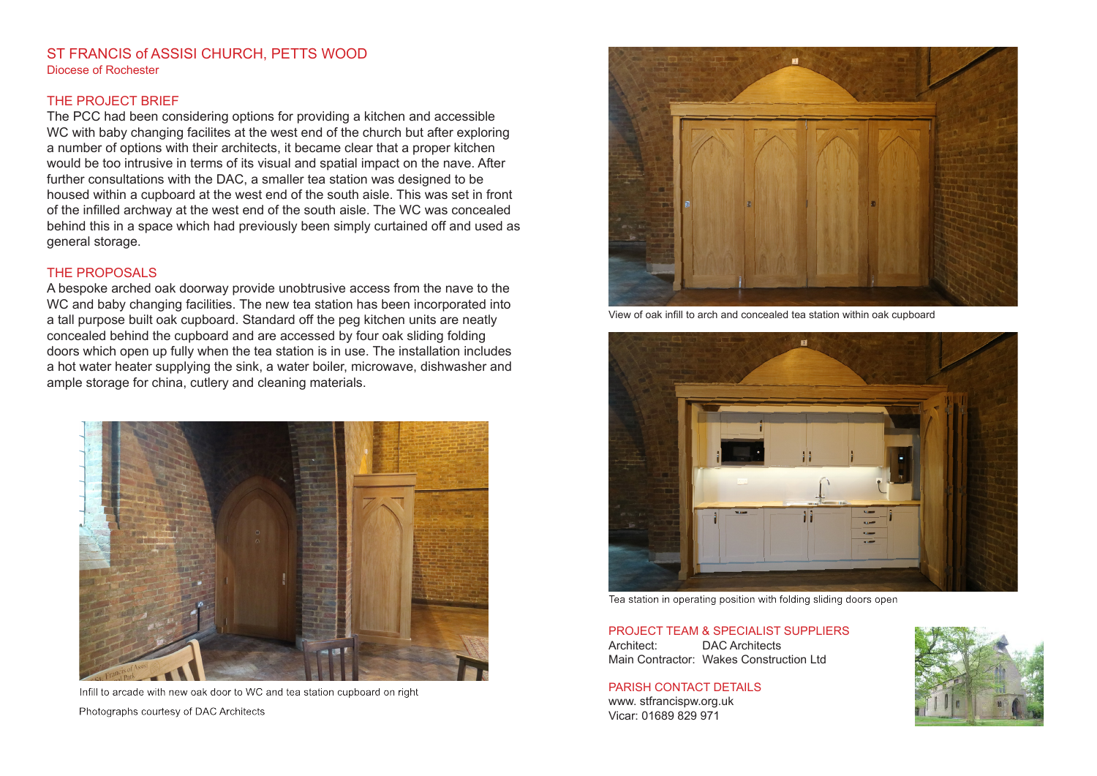### ST FRANCIS of ASSISI CHURCH, PETTS WOOD Diocese of Rochester

## THE PROJECT BRIEF

The PCC had been considering options for providing a kitchen and accessible WC with baby changing facilites at the west end of the church but after exploring a number of options with their architects, it became clear that a proper kitchen would be too intrusive in terms of its visual and spatial impact on the nave. After further consultations with the DAC, a smaller tea station was designed to be housed within a cupboard at the west end of the south aisle. This was set in front of the infilled archway at the west end of the south aisle. The WC was concealed behind this in a space which had previously been simply curtained off and used as general storage.

#### THE PROPOSALS

A bespoke arched oak doorway provide unobtrusive access from the nave to the WC and baby changing facilities. The new tea station has been incorporated into a tall purpose built oak cupboard. Standard off the peg kitchen units are neatly concealed behind the cupboard and are accessed by four oak sliding folding doors which open up fully when the tea station is in use. The installation includes a hot water heater supplying the sink, a water boiler, microwave, dishwasher and ample storage for china, cutlery and cleaning materials.



Infill to arcade with new oak door to WC and tea station cupboard on right Photographs courtesy of DAC Architects



View of oak infill to arch and concealed tea station within oak cupboard



Tea station in operating position with folding sliding doors open

# PROJECT TEAM & SPECIALIST SUPPLIERS

Architect: DAC Architects Main Contractor: Wakes Construction Ltd

#### PARISH CONTACT DETAILS

www. stfrancispw.org.uk Vicar: 01689 829 971